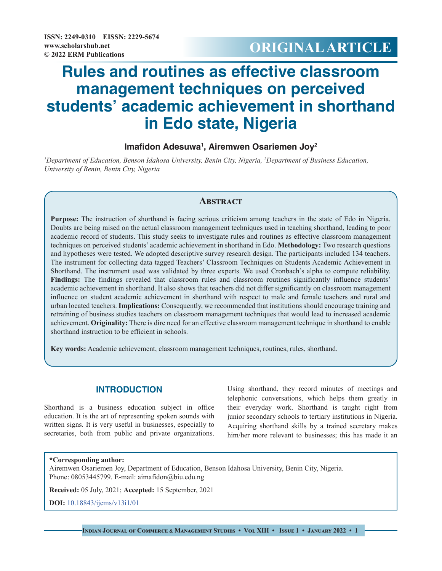# **© 2022 ERM Publications ORIGINAL ARTICLE**

# **Rules and routines as effective classroom management techniques on perceived students' academic achievement in shorthand in Edo state, Nigeria**

# **Imafidon Adesuwa1 , Airemwen Osariemen Joy2**

*1 Department of Education, Benson Idahosa University, Benin City, Nigeria, 2 Department of Business Education, University of Benin, Benin City, Nigeria*

## **Abstract**

**Purpose:** The instruction of shorthand is facing serious criticism among teachers in the state of Edo in Nigeria. Doubts are being raised on the actual classroom management techniques used in teaching shorthand, leading to poor academic record of students. This study seeks to investigate rules and routines as effective classroom management techniques on perceived students' academic achievement in shorthand in Edo. **Methodology:** Two research questions and hypotheses were tested. We adopted descriptive survey research design. The participants included 134 teachers. The instrument for collecting data tagged Teachers' Classroom Techniques on Students Academic Achievement in Shorthand. The instrument used was validated by three experts. We used Cronbach's alpha to compute reliability. **Findings:** The findings revealed that classroom rules and classroom routines significantly influence students' academic achievement in shorthand. It also shows that teachers did not differ significantly on classroom management influence on student academic achievement in shorthand with respect to male and female teachers and rural and urban located teachers. **Implications:** Consequently, we recommended that institutions should encourage training and retraining of business studies teachers on classroom management techniques that would lead to increased academic achievement. **Originality:** There is dire need for an effective classroom management technique in shorthand to enable shorthand instruction to be efficient in schools.

**Key words:** Academic achievement, classroom management techniques, routines, rules, shorthand.

## **INTRODUCTION**

Shorthand is a business education subject in office education. It is the art of representing spoken sounds with written signs. It is very useful in businesses, especially to secretaries, both from public and private organizations.

Using shorthand, they record minutes of meetings and telephonic conversations, which helps them greatly in their everyday work. Shorthand is taught right from junior secondary schools to tertiary institutions in Nigeria. Acquiring shorthand skills by a trained secretary makes him/her more relevant to businesses; this has made it an

#### **\*Corresponding author:**

Airemwen Osariemen Joy, Department of Education, Benson Idahosa University, Benin City, Nigeria. Phone: 08053445799. E-mail: aimafidon@biu.edu.ng

**Received:** 05 July, 2021; **Accepted:** 15 September, 2021

**DOI:** [10.18843/ijcms/v13i1/01](http://dx.doi.org/10.18843/ijcms/v13i1/01)

**Indian Journal of Commerce & Management Studies • Vol XIII • Issue 1 • January 2022 • 1**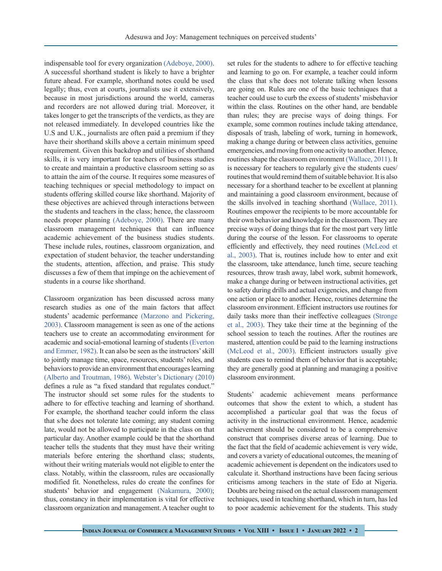indispensable tool for every organization [\(Adeboye, 2000\)](#page-5-0). A successful shorthand student is likely to have a brighter future ahead. For example, shorthand notes could be used legally; thus, even at courts, journalists use it extensively, because in most jurisdictions around the world, cameras and recorders are not allowed during trial. Moreover, it takes longer to get the transcripts of the verdicts, as they are not released immediately. In developed countries like the U.S and U.K., journalists are often paid a premium if they have their shorthand skills above a certain minimum speed requirement. Given this backdrop and utilities of shorthand skills, it is very important for teachers of business studies to create and maintain a productive classroom setting so as to attain the aim of the course. It requires some measures of teaching techniques or special methodology to impact on students offering skilled course like shorthand. Majority of these objectives are achieved through interactions between the students and teachers in the class; hence, the classroom needs proper planning [\(Adeboye, 2000\).](#page-5-0) There are many classroom management techniques that can influence academic achievement of the business studies students. These include rules, routines, classroom organization, and expectation of student behavior, the teacher understanding the students, attention, affection, and praise. This study discusses a few of them that impinge on the achievement of students in a course like shorthand.

Classroom organization has been discussed across many research studies as one of the main factors that affect students' academic performance [\(Marzono and Pickering,](#page-6-0)  [2003\)](#page-6-0). Classroom management is seen as one of the actions teachers use to create an accommodating environment for academic and social-emotional learning of students [\(Everton](#page-5-1) [and Emmer, 1982\)](#page-5-1). It can also be seen as the instructors' skill to jointly manage time, space, resources, students' roles, and behaviors to provide an environment that encourages learning (Alberto and Troutman, 1986). [Webster's Dictionary \(2010\)](#page-6-1) defines a rule as "a fixed standard that regulates conduct." The instructor should set some rules for the students to adhere to for effective teaching and learning of shorthand. For example, the shorthand teacher could inform the class that s/he does not tolerate late coming; any student coming late, would not be allowed to participate in the class on that particular day. Another example could be that the shorthand teacher tells the students that they must have their writing materials before entering the shorthand class; students, without their writing materials would not eligible to enter the class. Notably, within the classroom, rules are occasionally modified fit. Nonetheless, rules do create the confines for students' behavior and engagement [\(Nakamura, 2000\)](#page-6-2); thus, constancy in their implementation is vital for effective classroom organization and management. A teacher ought to

set rules for the students to adhere to for effective teaching and learning to go on. For example, a teacher could inform the class that s/he does not tolerate talking when lessons are going on. Rules are one of the basic techniques that a teacher could use to curb the excess of students' misbehavior within the class. Routines on the other hand, are bendable than rules; they are precise ways of doing things. For example, some common routines include taking attendance, disposals of trash, labeling of work, turning in homework, making a change during or between class activities, genuine emergencies, and moving from one activity to another. Hence, routines shape the classroom environment [\(Wallace, 2011\)](#page-6-3). It is necessary for teachers to regularly give the students cues/ routines that would remind them of suitable behavior. It is also necessary for a shorthand teacher to be excellent at planning and maintaining a good classroom environment, because of the skills involved in teaching shorthand [\(Wallace, 2011\)](#page-6-3). Routines empower the recipients to be more accountable for their own behavior and knowledge in the classroom. They are precise ways of doing things that for the most part very little during the course of the lesson. For classrooms to operate efficiently and effectively, they need routines [\(McLeod et](#page-6-4)  [al., 2003\).](#page-6-4) That is, routines include how to enter and exit the classroom, take attendance, lunch time, secure teaching resources, throw trash away, label work, submit homework, make a change during or between instructional activities, get to safety during drills and actual exigencies, and change from one action or place to another. Hence, routines determine the classroom environment. Efficient instructors use routines for daily tasks more than their ineffective colleagues [\(Stronge](#page-6-5)  [et al., 2003\)](#page-6-5). They take their time at the beginning of the school session to teach the routines. After the routines are mastered, attention could be paid to the learning instructions [\(McLeod et al., 2003\)](#page-6-4). Efficient instructors usually give students cues to remind them of behavior that is acceptable; they are generally good at planning and managing a positive classroom environment.

Students' academic achievement means performance outcomes that show the extent to which, a student has accomplished a particular goal that was the focus of activity in the instructional environment. Hence, academic achievement should be considered to be a comprehensive construct that comprises diverse areas of learning. Due to the fact that the field of academic achievement is very wide, and covers a variety of educational outcomes, the meaning of academic achievement is dependent on the indicators used to calculate it. Shorthand instructions have been facing serious criticisms among teachers in the state of Edo at Nigeria. Doubts are being raised on the actual classroom management techniques, used in teaching shorthand, which in turn, has led to poor academic achievement for the students. This study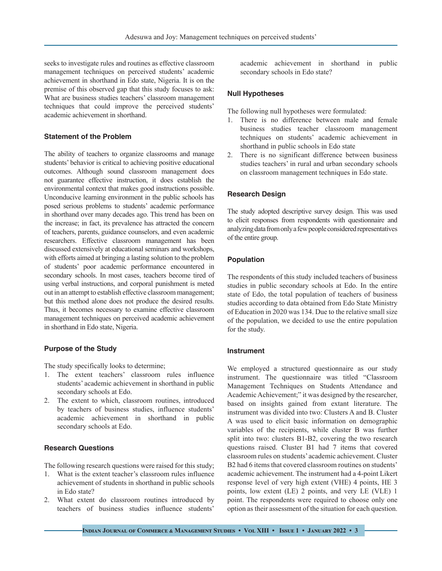seeks to investigate rules and routines as effective classroom management techniques on perceived students' academic achievement in shorthand in Edo state, Nigeria. It is on the premise of this observed gap that this study focuses to ask: What are business studies teachers' classroom management techniques that could improve the perceived students' academic achievement in shorthand.

## **Statement of the Problem**

The ability of teachers to organize classrooms and manage students' behavior is critical to achieving positive educational outcomes. Although sound classroom management does not guarantee effective instruction, it does establish the environmental context that makes good instructions possible. Unconducive learning environment in the public schools has posed serious problems to students' academic performance in shorthand over many decades ago. This trend has been on the increase; in fact, its prevalence has attracted the concern of teachers, parents, guidance counselors, and even academic researchers. Effective classroom management has been discussed extensively at educational seminars and workshops, with efforts aimed at bringing a lasting solution to the problem of students' poor academic performance encountered in secondary schools. In most cases, teachers become tired of using verbal instructions, and corporal punishment is meted out in an attempt to establish effective classroom management; but this method alone does not produce the desired results. Thus, it becomes necessary to examine effective classroom management techniques on perceived academic achievement in shorthand in Edo state, Nigeria.

### **Purpose of the Study**

The study specifically looks to determine;

- 1. The extent teachers' classroom rules influence students' academic achievement in shorthand in public secondary schools at Edo.
- 2. The extent to which, classroom routines, introduced by teachers of business studies, influence students' academic achievement in shorthand in public secondary schools at Edo.

## **Research Questions**

The following research questions were raised for this study;

- 1. What is the extent teacher's classroom rules influence achievement of students in shorthand in public schools in Edo state?
- 2. What extent do classroom routines introduced by teachers of business studies influence students'

academic achievement in shorthand in public secondary schools in Edo state?

#### **Null Hypotheses**

The following null hypotheses were formulated:

- 1. There is no difference between male and female business studies teacher classroom management techniques on students' academic achievement in shorthand in public schools in Edo state
- 2. There is no significant difference between business studies teachers' in rural and urban secondary schools on classroom management techniques in Edo state.

## **Research Design**

The study adopted descriptive survey design. This was used to elicit responses from respondents with questionnaire and analyzing data from only a few people considered representatives of the entire group.

### **Population**

The respondents of this study included teachers of business studies in public secondary schools at Edo. In the entire state of Edo, the total population of teachers of business studies according to data obtained from Edo State Ministry of Education in 2020 was 134. Due to the relative small size of the population, we decided to use the entire population for the study.

#### **Instrument**

We employed a structured questionnaire as our study instrument. The questionnaire was titled "Classroom Management Techniques on Students Attendance and Academic Achievement;" it was designed by the researcher, based on insights gained from extant literature. The instrument was divided into two: Clusters A and B. Cluster A was used to elicit basic information on demographic variables of the recipients, while cluster B was further split into two: clusters B1-B2, covering the two research questions raised. Cluster B1 had 7 items that covered classroom rules on students' academic achievement. Cluster B2 had 6 items that covered classroom routines on students' academic achievement. The instrument had a 4-point Likert response level of very high extent (VHE) 4 points, HE 3 points, low extent (LE) 2 points, and very LE (VLE) 1 point. The respondents were required to choose only one option as their assessment of the situation for each question.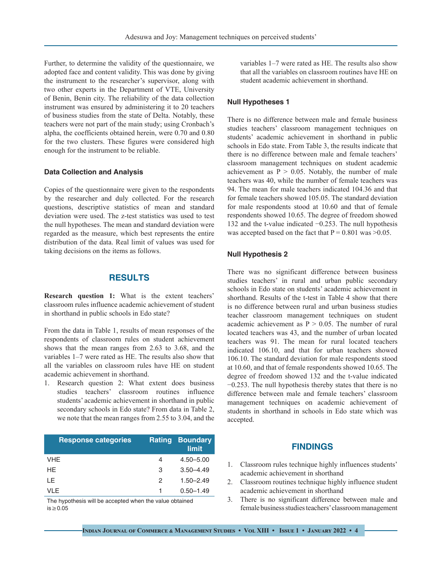Further, to determine the validity of the questionnaire, we adopted face and content validity. This was done by giving the instrument to the researcher's supervisor, along with two other experts in the Department of VTE, University of Benin, Benin city. The reliability of the data collection instrument was ensured by administering it to 20 teachers of business studies from the state of Delta. Notably, these teachers were not part of the main study; using Cronbach's alpha, the coefficients obtained herein, were 0.70 and 0.80 for the two clusters. These figures were considered high enough for the instrument to be reliable.

## **Data Collection and Analysis**

Copies of the questionnaire were given to the respondents by the researcher and duly collected. For the research questions, descriptive statistics of mean and standard deviation were used. The z-test statistics was used to test the null hypotheses. The mean and standard deviation were regarded as the measure, which best represents the entire distribution of the data. Real limit of values was used for taking decisions on the items as follows.

## **RESULTS**

**Research question 1:** What is the extent teachers' classroom rules influence academic achievement of student in shorthand in public schools in Edo state?

From the data in Table 1, results of mean responses of the respondents of classroom rules on student achievement shows that the mean ranges from 2.63 to 3.68, and the variables 1–7 were rated as HE. The results also show that all the variables on classroom rules have HE on student academic achievement in shorthand.

1. Research question 2: What extent does business studies teachers' classroom routines influence students' academic achievement in shorthand in public secondary schools in Edo state? From data in Table 2, we note that the mean ranges from 2.55 to 3.04, and the

| <b>Response categories</b> |   | <b>Rating Boundary</b><br>limit |
|----------------------------|---|---------------------------------|
| VHE                        | 4 | $4.50 - 5.00$                   |
| HE.                        | 3 | $3.50 - 4.49$                   |
| LE                         | 2 | $1.50 - 2.49$                   |
| VI F                       |   | $0.50 - 1.49$                   |

The hypothesis will be accepted when the value obtained is≥0.05

variables 1–7 were rated as HE. The results also show that all the variables on classroom routines have HE on student academic achievement in shorthand.

#### **Null Hypotheses 1**

There is no difference between male and female business studies teachers' classroom management techniques on students' academic achievement in shorthand in public schools in Edo state. From Table 3, the results indicate that there is no difference between male and female teachers' classroom management techniques on student academic achievement as  $P > 0.05$ . Notably, the number of male teachers was 40, while the number of female teachers was 94. The mean for male teachers indicated 104.36 and that for female teachers showed 105.05. The standard deviation for male respondents stood at 10.60 and that of female respondents showed 10.65. The degree of freedom showed 132 and the t-value indicated −0.253. The null hypothesis was accepted based on the fact that  $P = 0.801$  was  $> 0.05$ .

#### **Null Hypothesis 2**

There was no significant difference between business studies teachers' in rural and urban public secondary schools in Edo state on students' academic achievement in shorthand. Results of the t-test in Table 4 show that there is no difference between rural and urban business studies teacher classroom management techniques on student academic achievement as  $P > 0.05$ . The number of rural located teachers was 43, and the number of urban located teachers was 91. The mean for rural located teachers indicated 106.10, and that for urban teachers showed 106.10. The standard deviation for male respondents stood at 10.60, and that of female respondents showed 10.65. The degree of freedom showed 132 and the t-value indicated −0.253. The null hypothesis thereby states that there is no difference between male and female teachers' classroom management techniques on academic achievement of students in shorthand in schools in Edo state which was accepted.

### **FINDINGS**

- 1. Classroom rules technique highly influences students' academic achievement in shorthand
- 2. Classroom routines technique highly influence student academic achievement in shorthand
- 3. There is no significant difference between male and female business studies teachers' classroom management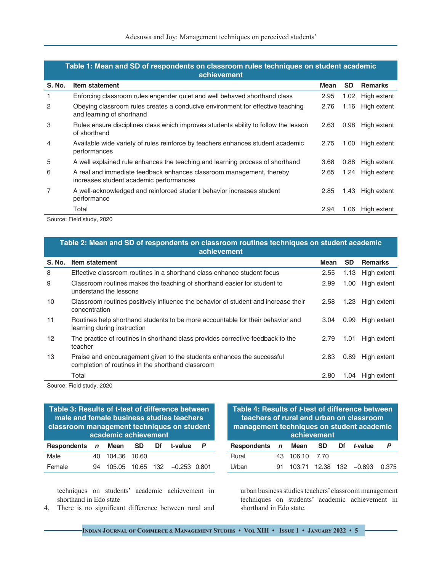| Table 1: Mean and SD of respondents on classroom rules techniques on student academic<br>achievement |                                                                                                                 |      |                   |                  |  |
|------------------------------------------------------------------------------------------------------|-----------------------------------------------------------------------------------------------------------------|------|-------------------|------------------|--|
| S. No.                                                                                               | Item statement                                                                                                  | Mean | <b>SD</b>         | <b>Remarks</b>   |  |
| 1                                                                                                    | Enforcing classroom rules engender quiet and well behaved shorthand class                                       | 2.95 | 1.02 <sub>1</sub> | High extent      |  |
| 2                                                                                                    | Obeying classroom rules creates a conducive environment for effective teaching<br>and learning of shorthand     | 2.76 | 1.16              | High extent      |  |
| 3                                                                                                    | Rules ensure disciplines class which improves students ability to follow the lesson<br>of shorthand             | 2.63 | 0.98              | High extent      |  |
| $\overline{4}$                                                                                       | Available wide variety of rules reinforce by teachers enhances student academic<br>performances                 | 2.75 | 1.00              | High extent      |  |
| 5                                                                                                    | A well explained rule enhances the teaching and learning process of shorthand                                   | 3.68 | 0.88              | High extent      |  |
| 6                                                                                                    | A real and immediate feedback enhances classroom management, thereby<br>increases student academic performances | 2.65 |                   | 1.24 High extent |  |
| 7                                                                                                    | A well-acknowledged and reinforced student behavior increases student<br>performance                            | 2.85 | 1.43              | High extent      |  |
|                                                                                                      | Total                                                                                                           | 2.94 | 1.06              | High extent      |  |

**Table 1: Mean and SD of respondents on classroom rules techniques on student academic** 

Source: Field study, 2020

## **Table 2: Mean and SD of respondents on classroom routines techniques on student academic achievement**

| <b>S. No.</b>   | Item statement                                                                                                              | Mean | <b>SD</b> | <b>Remarks</b> |
|-----------------|-----------------------------------------------------------------------------------------------------------------------------|------|-----------|----------------|
| 8               | Effective classroom routines in a shorthand class enhance student focus                                                     | 2.55 | 1.13      | High extent    |
| 9               | Classroom routines makes the teaching of shorthand easier for student to<br>understand the lessons                          | 2.99 | 1.00      | High extent    |
| 10              | Classroom routines positively influence the behavior of student and increase their<br>concentration                         | 2.58 | 1.23      | High extent    |
| 11              | Routines help shorthand students to be more accountable for their behavior and<br>learning during instruction               | 3.04 | 0.99      | High extent    |
| 12 <sup>2</sup> | The practice of routines in shorthand class provides corrective feedback to the<br>teacher                                  | 2.79 | 1.01      | High extent    |
| 13              | Praise and encouragement given to the students enhances the successful<br>completion of routines in the shorthand classroom | 2.83 | 0.89      | High extent    |
|                 | Total                                                                                                                       | 2.80 | 1.04      | High extent    |

Source: Field study, 2020

**Table 3: Results of t‑test of difference between male and female business studies teachers classroom management techniques on student academic achievement Respondents <sup>n</sup> Mean SD Df t‑value P** Male 40 104.36 10.60 Female 94 105.05 10.65 132 −0.253 0.801

techniques on students' academic achievement in shorthand in Edo state

4. There is no significant difference between rural and

| Table 4: Results of t-test of difference between<br>teachers of rural and urban on classroom<br>management techniques on student academic<br>achievement |    |        |           |    |                         |       |  |
|----------------------------------------------------------------------------------------------------------------------------------------------------------|----|--------|-----------|----|-------------------------|-------|--|
| Respondents n Mean                                                                                                                                       |    |        | <b>SD</b> | Df | <i>t</i> -value         | P     |  |
| Rural                                                                                                                                                    | 43 | 106.10 | 7.70      |    |                         |       |  |
| l Irhan                                                                                                                                                  |    |        |           |    | 103.71 12.38 132 -0.893 | 0.375 |  |

urban business studies teachers' classroom management techniques on students' academic achievement in shorthand in Edo state.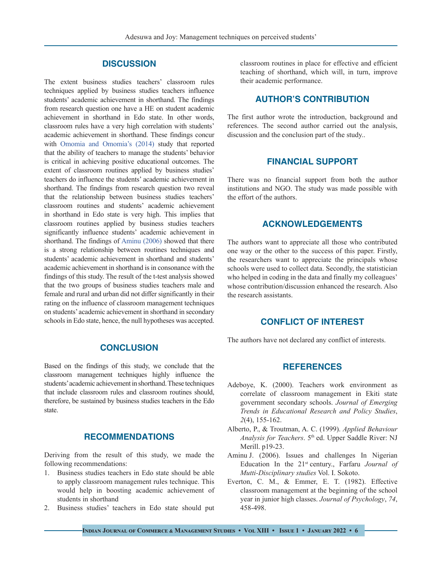## **DISCUSSION**

The extent business studies teachers' classroom rules techniques applied by business studies teachers influence students' academic achievement in shorthand. The findings from research question one have a HE on student academic achievement in shorthand in Edo state. In other words, classroom rules have a very high correlation with students' academic achievement in shorthand. These findings concur with [Omomia and Omomia's \(2014\)](#page-6-6) study that reported that the ability of teachers to manage the students' behavior is critical in achieving positive educational outcomes. The extent of classroom routines applied by business studies' teachers do influence the students' academic achievement in shorthand. The findings from research question two reveal that the relationship between business studies teachers' classroom routines and students' academic achievement in shorthand in Edo state is very high. This implies that classroom routines applied by business studies teachers significantly influence students' academic achievement in shorthand. The findings of Aminu (2006) showed that there is a strong relationship between routines techniques and students' academic achievement in shorthand and students' academic achievement in shorthand is in consonance with the findings of this study. The result of the t-test analysis showed that the two groups of business studies teachers male and female and rural and urban did not differ significantly in their rating on the influence of classroom management techniques on students' academic achievement in shorthand in secondary schools in Edo state, hence, the null hypotheses was accepted.

## **CONCLUSION**

Based on the findings of this study, we conclude that the classroom management techniques highly influence the students' academic achievement in shorthand. These techniques that include classroom rules and classroom routines should, therefore, be sustained by business studies teachers in the Edo state.

## **RECOMMENDATIONS**

Deriving from the result of this study, we made the following recommendations:

- 1. Business studies teachers in Edo state should be able to apply classroom management rules technique. This would help in boosting academic achievement of students in shorthand
- 2. Business studies' teachers in Edo state should put

classroom routines in place for effective and efficient teaching of shorthand, which will, in turn, improve their academic performance.

## **AUTHOR'S CONTRIBUTION**

The first author wrote the introduction, background and references. The second author carried out the analysis, discussion and the conclusion part of the study..

## **FINANCIAL SUPPORT**

There was no financial support from both the author institutions and NGO. The study was made possible with the effort of the authors.

# **ACKNOWLEDGEMENTS**

The authors want to appreciate all those who contributed one way or the other to the success of this paper. Firstly, the researchers want to appreciate the principals whose schools were used to collect data. Secondly, the statistician who helped in coding in the data and finally my colleagues' whose contribution/discussion enhanced the research. Also the research assistants.

## **CONFLICT OF INTEREST**

The authors have not declared any conflict of interests.

## **REFERENCES**

- <span id="page-5-0"></span>Adeboye, K. (2000). Teachers work environment as correlate of classroom management in Ekiti state government secondary schools. *Journal of Emerging Trends in Educational Research and Policy Studies*, *2*(4), 155-162.
- Alberto, P., & Troutman, A. C. (1999). *Applied Behaviour Analysis for Teachers*. 5<sup>th</sup> ed. Upper Saddle River: NJ Merill. p19-23.
- Aminu J. (2006). Issues and challenges In Nigerian Education In the 21st century., Farfaru *Journal of Mutti-Disciplinary studies* Vol. I. Sokoto.
- <span id="page-5-1"></span>Everton, C. M., & Emmer, E. T. (1982). Effective classroom management at the beginning of the school year in junior high classes. *Journal of Psychology*, *74*, 458-498.